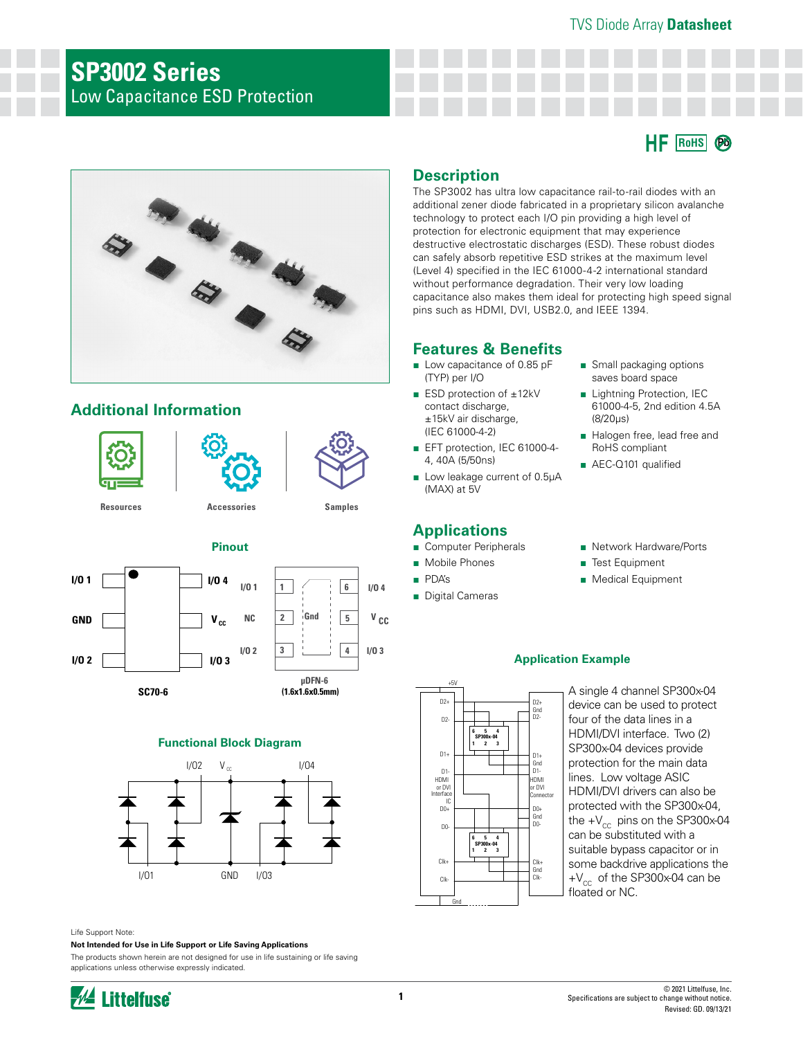**RoHS Pb**

# **SP3002 Series** Low Capacitance ESD Protection



# **Additional Information**







**[Resources](https://www.littelfuse.com/products/tvs-diode-arrays/low-capacitance-esd-protection/sp3002.aspx#TechnicalResources) [Accessories](https://www.littelfuse.com/products/tvs-diode-arrays/low-capacitance-esd-protection/sp3002.aspx#EnvironmentalInfo) [Samples](https://www.littelfuse.com/products/tvs-diode-arrays/low-capacitance-esd-protection/sp3002.aspx#ElectricalCharacteristics)**

### **Pinout**

**I/O 1 I/O 2 SC70-6**  $\mathbf{v}_{\text{cc}}$ **I/O 3 I/O 4 GND 1 2 3 Gnd I/O 1 NC**  $I/O 2$  **3 1**<br>**1/O 3 (1.6x1.6x0.5mm)**



**6**

**I/O 4**

**V CC**

**5**

**4**

#### **Functional Block Diagram**



Life Support Note:

**Not Intended for Use in Life Support or Life Saving Applications**

The products shown herein are not designed for use in life sustaining or life saving applications unless otherwise expressly indicated.

# **Littelfuse**

## **Description**

The SP3002 has ultra low capacitance rail-to-rail diodes with an additional zener diode fabricated in a proprietary silicon avalanche technology to protect each I/O pin providing a high level of protection for electronic equipment that may experience destructive electrostatic discharges (ESD). These robust diodes can safely absorb repetitive ESD strikes at the maximum level (Level 4) specified in the IEC 61000-4-2 international standard without performance degradation. Their very low loading capacitance also makes them ideal for protecting high speed signal pins such as HDMI, DVI, USB2.0, and IEEE 1394.

## **Features & Benefits**

- Low capacitance of 0.85 pF (TYP) per I/O
- ESD protection of ±12kV contact discharge, ±15kV air discharge, (IEC 61000-4-2)
- EFT protection, IEC 61000-4-4, 40A (5/50ns)
- Low leakage current of 0.5µA (MAX) at 5V

## **Applications**

- Computer Peripherals
- Mobile Phones
- PDA's
- Digital Cameras
- Small packaging options saves board space
- Lightning Protection, IEC 61000-4-5, 2nd edition 4.5A (8/20µs)
- Halogen free, lead free and RoHS compliant
- AEC-Q101 qualified
- Network Hardware/Ports
- Test Equipment
- Medical Equipment

#### **Application Example**



A single 4 channel SP300x-04 device can be used to protect four of the data lines in a HDMI/DVI interface. Two (2) SP300x-04 devices provide protection for the main data lines. Low voltage ASIC HDMI/DVI drivers can also be protected with the SP300x-04, the  $+V_{cc}$  pins on the SP300x-04 can be substituted with a suitable bypass capacitor or in some backdrive applications the  $+V_{cc}$  of the SP300x-04 can be floated or NC.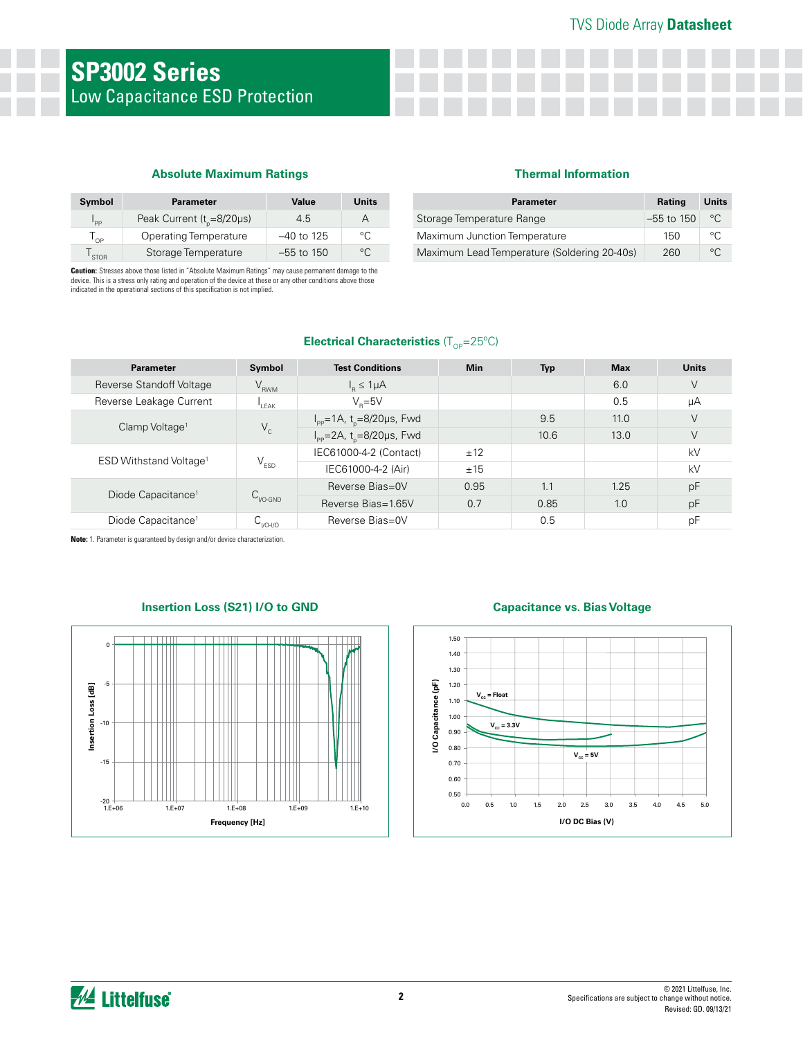#### **Absolute Maximum Ratings**

| Symbol      | <b>Parameter</b>                | Value        | <b>Units</b> |
|-------------|---------------------------------|--------------|--------------|
| 'PP         | Peak Current ( $t_{n}$ =8/20µs) | 4.5          |              |
| OP          | <b>Operating Temperature</b>    | $-40$ to 125 | $\circ$      |
| <b>STOR</b> | Storage Temperature             | $-55$ to 150 | $\circ$      |

**Caution:** Stresses above those listed in "Absolute Maximum Ratings" may cause permanent damage to the<br>device. This is a stress only rating and operation of the device at these or any other conditions above those indicated in the operational sections of this specification is not implied.

#### **Thermal Information**

| <b>Parameter</b>                            | Rating       | Units        |
|---------------------------------------------|--------------|--------------|
| Storage Temperature Range                   | $-55$ to 150 | $^{\circ}$ C |
| Maximum Junction Temperature                | 150          | $\circ$      |
| Maximum Lead Temperature (Soldering 20-40s) | 260          | $\circ$      |

#### **Electrical Characteristics** (T<sub>OP</sub>=25°C)

| <b>Parameter</b>                   | Symbol                      | <b>Test Conditions</b>                             | <b>Min</b> | <b>Typ</b> | <b>Max</b> | Units |
|------------------------------------|-----------------------------|----------------------------------------------------|------------|------------|------------|-------|
| Reverse Standoff Voltage           | $V_{RWM}$                   | $I_p \leq 1 \mu A$                                 |            |            | 6.0        | ٧     |
| Reverse Leakage Current            | I FAK                       | $V_e = 5V$                                         |            |            | 0.5        | uA    |
|                                    |                             | $I_{\text{pp}}$ =1A, t <sub>n</sub> =8/20µs, Fwd   |            | 9.5        | 11.0       | ٧     |
| Clamp Voltage <sup>1</sup>         | $V_c$                       | $I_{\text{pp}} = 2A$ , t <sub>n</sub> =8/20µs, Fwd |            | 10.6       | 13.0       | V     |
| ESD Withstand Voltage <sup>1</sup> | $\mathsf{V}_{\texttt{ESD}}$ | IEC61000-4-2 (Contact)                             | ±12        |            |            | kV    |
|                                    |                             | IEC61000-4-2 (Air)                                 | ±15        |            |            | kV    |
| Diode Capacitance <sup>1</sup>     | $C_{\text{V0-GND}}$         | Reverse Bias=0V                                    | 0.95       | 1.1        | 1.25       | pF    |
|                                    |                             | Reverse Bias=1.65V                                 | 0.7        | 0.85       | 1.0        | pF    |
| Diode Capacitance <sup>1</sup>     | $U_{1/0-1/0}$               | Reverse Bias=0V                                    |            | 0.5        |            | pF    |

**Note:** 1. Parameter is guaranteed by design and/or device characterization.



#### **Insertion Loss (S21) I/O to GND Capacitance vs. Bias Voltage**

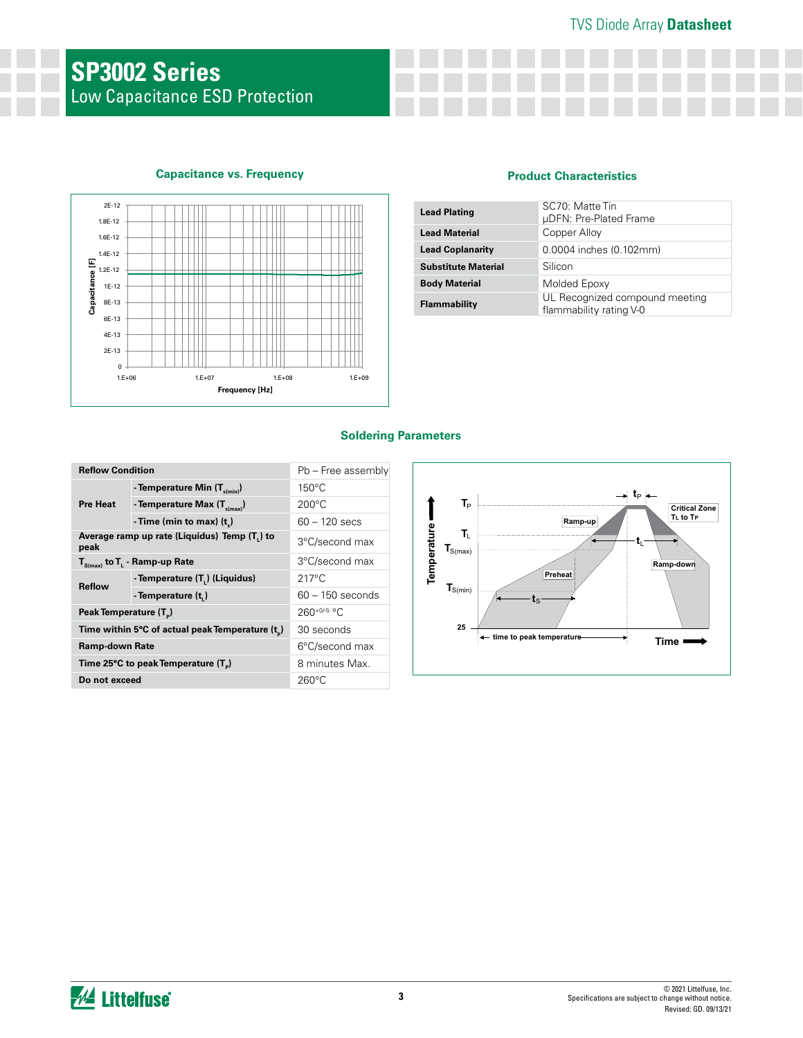#### **Capacitance vs. Frequency**



#### **Product Characteristics**

| <b>Lead Plating</b>        | SC70: Matte Tin<br>µDFN: Pre-Plated Frame                 |
|----------------------------|-----------------------------------------------------------|
| <b>Lead Material</b>       | Copper Alloy                                              |
| <b>Lead Coplanarity</b>    | 0.0004 inches (0.102mm)                                   |
| <b>Substitute Material</b> | Silicon                                                   |
| <b>Body Material</b>       | Molded Epoxy                                              |
| Flammability               | UL Recognized compound meeting<br>flammability rating V-0 |

#### **Soldering Parameters**

| <b>Reflow Condition</b>                         |                                                | Pb - Free assembly |
|-------------------------------------------------|------------------------------------------------|--------------------|
|                                                 | - Temperature Min (T <sub>s(min)</sub> )       | $150^{\circ}$ C    |
| <b>Pre Heat</b>                                 | - Temperature Max $(T_{s(max)})$               | $200^{\circ}$ C    |
|                                                 | - Time (min to max) $(t_2)$                    | $60 - 120$ secs    |
| peak                                            | Average ramp up rate (Liquidus) Temp (T) to    | 3°C/second max     |
|                                                 | $T_{S(max)}$ to $T_{L}$ - Ramp-up Rate         | 3°C/second max     |
| <b>Reflow</b>                                   | - Temperature (T <sub>1</sub> ) (Liquidus)     | $217^{\circ}$ C    |
|                                                 | - Temperature (t)                              | $60 - 150$ seconds |
| Peak Temperature (T <sub>n</sub> )              |                                                | 260+0/-5 °C        |
|                                                 | Time within 5°C of actual peak Temperature (t) | 30 seconds         |
| Ramp-down Rate                                  |                                                | 6°C/second max     |
| Time 25°C to peak Temperature (T <sub>a</sub> ) |                                                | 8 minutes Max.     |
| Do not exceed                                   |                                                | $260^{\circ}$ C    |

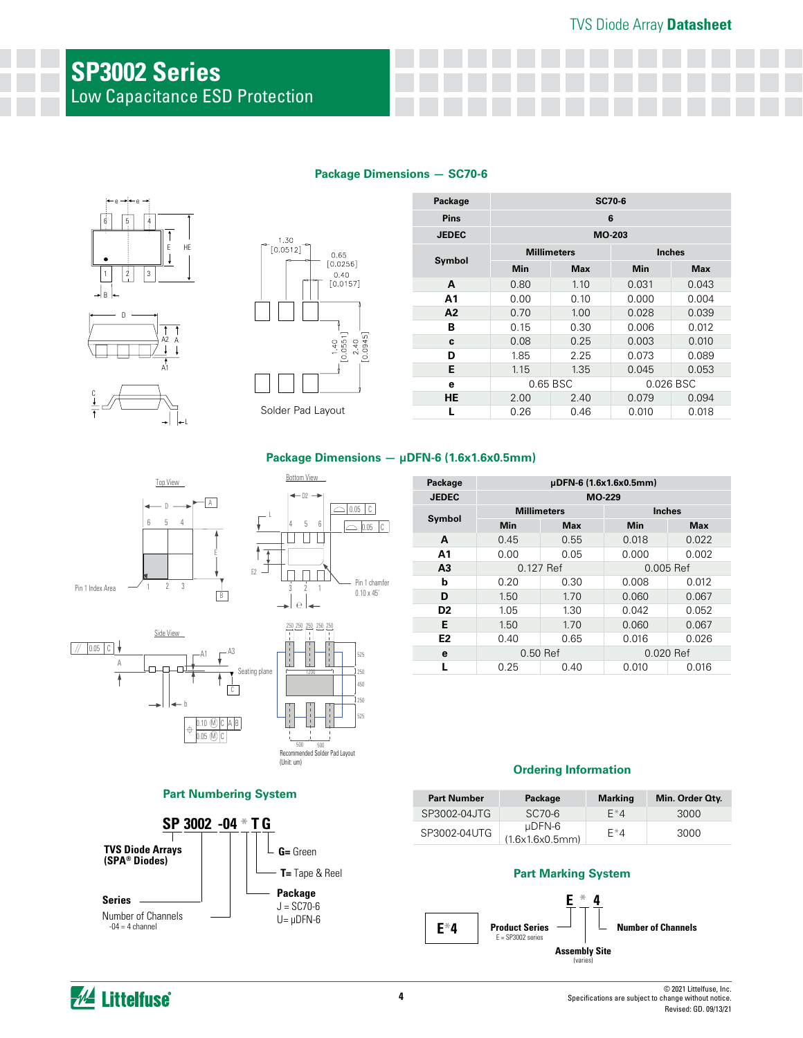# **SP3002 Series** Low Capacitance ESD Protection

#### **Package Dimensions — SC70-6**





| Package      | SC70-6       |                    |               |            |  |
|--------------|--------------|--------------------|---------------|------------|--|
| <b>Pins</b>  | 6            |                    |               |            |  |
| <b>JEDEC</b> | MO-203       |                    |               |            |  |
|              |              | <b>Millimeters</b> | <b>Inches</b> |            |  |
| Symbol       | Min          | <b>Max</b>         | Min           | <b>Max</b> |  |
| A            | 0.80         | 1.10               | 0.031         | 0.043      |  |
| Α1           | 0.00         | 0.10               | 0.000         | 0.004      |  |
| A2           | 0.70         | 1.00               | 0.028         | 0.039      |  |
| в            | 0.15         | 0.30               | 0.006         | 0.012      |  |
| C            | 0.08         | 0.25               | 0.003         | 0.010      |  |
| D            | 1.85         | 2.25               | 0.073         | 0.089      |  |
| Е            | 1.15         | 1.35               | 0.045         | 0.053      |  |
| e            |              | 0.65 BSC           |               | 0.026 BSC  |  |
| <b>HE</b>    | 2.00         | 2.40               | 0.079         | 0.094      |  |
|              | 0.26<br>0.46 |                    | 0.010         | 0.018      |  |

#### **Package Dimensions — μDFN-6 (1.6x1.6x0.5mm)**





# **℮** 250 250 250 250 250 525 250 250 525 450 Recommended Solder Pad Layout (Unit: um)

#### **Part Numbering System**



| Package        | µDFN-6 (1.6x1.6x0.5mm) |            |                |            |  |
|----------------|------------------------|------------|----------------|------------|--|
| <b>JEDEC</b>   | MO-229                 |            |                |            |  |
| Symbol         | <b>Millimeters</b>     |            | <b>Inches</b>  |            |  |
|                | Min                    | <b>Max</b> | Min            | <b>Max</b> |  |
| A              | 0.45                   | 0.55       | 0.018          | 0.022      |  |
| Α1             | 0.00                   | 0.05       | 0.000          | 0.002      |  |
| A <sub>3</sub> | 0.127 Ref              |            | 0.005 Ref      |            |  |
| h              | 0.20                   | 0.30       | 0.012<br>0.008 |            |  |
| D              | 1.50                   | 1.70       | 0.060          | 0.067      |  |
| D <sub>2</sub> | 1.05                   | 1.30       | 0.042          | 0.052      |  |
| Е              | 1.50                   | 1.70       | 0.060          | 0.067      |  |
| E <sub>2</sub> | 0.40                   | 0.65       | 0.016          | 0.026      |  |
| е              | 0.50 Ref               |            | $0.020$ Ref    |            |  |
|                | 0.25                   | 0.40       | 0.010          | 0.016      |  |

#### **Ordering Information**

| <b>Part Number</b> | Package                        | <b>Marking</b> | Min. Order Oty. |
|--------------------|--------------------------------|----------------|-----------------|
| SP3002-04JTG       | SC70-6                         | $F^*4$         | 3000            |
| SP3002-04UTG       | $\mu$ DFN-6<br>(1.6x1.6x0.5mm) | $F^*4$         | 3000            |

#### **Part Marking System**